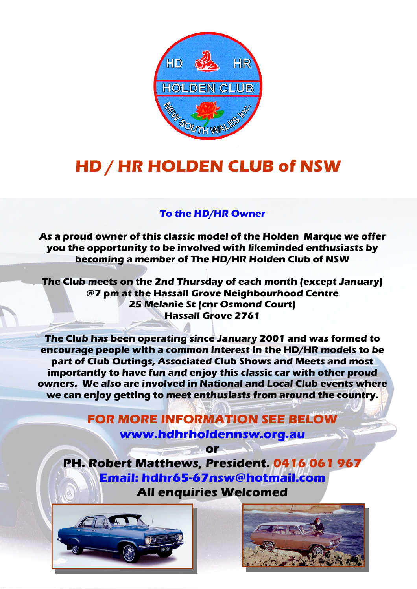

## HD / HR HOLDEN CLUB of NSW

## To the HD/HR Owner

As a proud owner of this classic model of the Holden Marque we offer you the opportunity to be involved with likeminded enthusiasts by becoming a member of The HD/HR Holden Club of NSW

The Club meets on the 2nd Thursday of each month (except January) @7 pm at the Hassall Grove Neighbourhood Centre 25 Melanie St (cnr Osmond Court) Hassall Grove 2761

The Club has been operating since January 2001 and was formed to encourage people with a common interest in the HD/HR models to be part of Club Outings, Associated Club Shows and Meets and most importantly to have fun and enjoy this classic car with other proud owners. We also are involved in National and Local Club events where we can enjoy getting to meet enthusiasts from around the country.

> FOR MORE INFORMATION SEE BELOW www.hdhrholdennsw.org.au

> > or

PH. Robert Matthews, President. 0416 061 967 Email: hdhr65-67nsw@hotmail.com All enquiries Welcomed